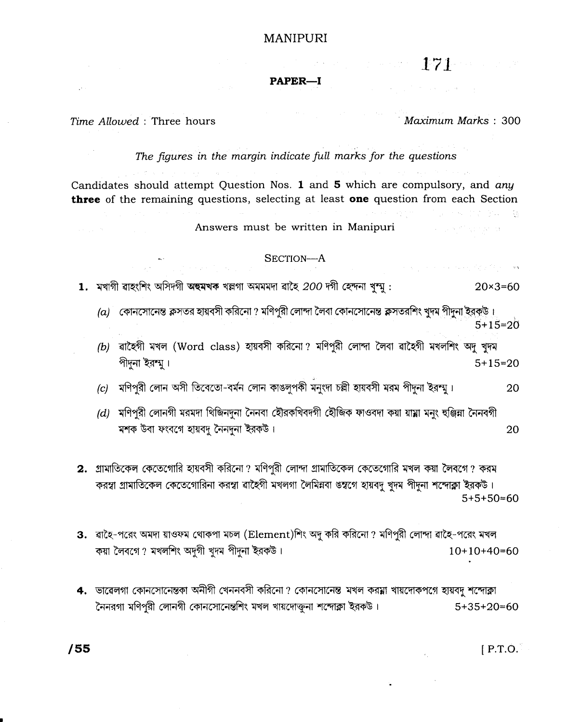## **MANIPURI**

 $\mathbb{R}^n$  and  $\mathbb{R}^n$   $\mathbb{R}^n$  and  $\mathbb{R}^n$ 

#### PAPER-I

#### Time Allowed: Three hours

#### Maximum Marks: 300

医血清蛋白 越

and the second companies.

 $\frac{1}{2}$  ,  $\frac{1}{2}$  ,  $\frac{1}{2}$  ,  $\frac{1}{2}$  ,  $\frac{1}{2}$  ,  $\frac{1}{2}$  ,  $\frac{1}{2}$  ,  $\frac{1}{2}$  ,

#### The figures in the margin indicate full marks for the questions

Candidates should attempt Question Nos. 1 and 5 which are compulsory, and any three of the remaining questions, selecting at least one question from each Section

Answers must be written in Manipuri

#### SECTION-A

1. মখাগী ৱাহংশিং অসিদগী অহুমখক খল্লগা অমমমদা ৱাহৈ 200 দগী হেন্দনা খুন্ম :  $20 \times 3 = 60$ 

(a) কোনসোনেন্ত ক্লসতর হায়বসী করিনো ? মণিপুরী লোন্দা লৈবা কোনসোনেন্ত ক্লসতরশিং খুদ্ম পীদুনা ইরক্ষ্ট।  $5+15=20$ 

(b) ৱাহৈগী মখল (Word class) হায়বসী করিনো? মণিপুরী লোন্দা লৈবা ৱাহৈগী মখলশিং অদু খুদম পীদুনা ইরম্ম।  $5 + 15 = 20$ 

(c) মণিপরী লোন অসী তিবেতো-বর্মন লোন কাঙলুপকী মনুংদা চল্লী হায়বসী মরম পীদুনা ইরম্ম। 20

 $(d)$  মণিপরী লোনগী মরমদা থিজিনদুনা নৈনবা হৌরকথিবদগী হৌজিক ফাওবদা কয়া য়ায়া মনুং হঞ্জিয়া নৈনবগী মশক উবা ফংবগে হায়বদু নৈনদুনা ইরকউ। 20

2. গ্রামাতিকেল কেতেগোরি হায়বসী করিনো? মণিপুরী লোন্দা গ্রামাতিকেল কেতেগোরি মখল কয়া লৈবগে? করম করস্বা গ্রামাতিকেল কেতেগোরিনা করস্বা রাহৈগী মখলগা লৈমিন্নবা ঙস্বগে হায়বদু খুদম পীদুনা শন্দোক্লা ইরকউ।  $5+5+50=60$ 

3. ৱাহৈ-পরেং অমদা য়াওফম থোকপা মচল (Element)শিং অদু করি করিনো ? মণিপুরী লোন্দা ৱাহৈ-পরেং মখল কয়া লৈবগে ? মখলশিং অদুগী খুদম পীদুনা ইরকউ।  $10+10+40=60$ 

4. ভাৱেলগা কোনসোনেন্তকা অনীগী খেননবসী করিনো ? কোনসোনেন্ত মখল করম্না খায়দোকপগে হায়বদু শন্দোক্লা নৈনরগা মণিপরী লোনগী কোনসোনেন্তশিং মখল খায়দোক্তনা শন্দোক্লা ইরকউ।  $5+35+20=60$ 

 $[$  P.T.O.

/55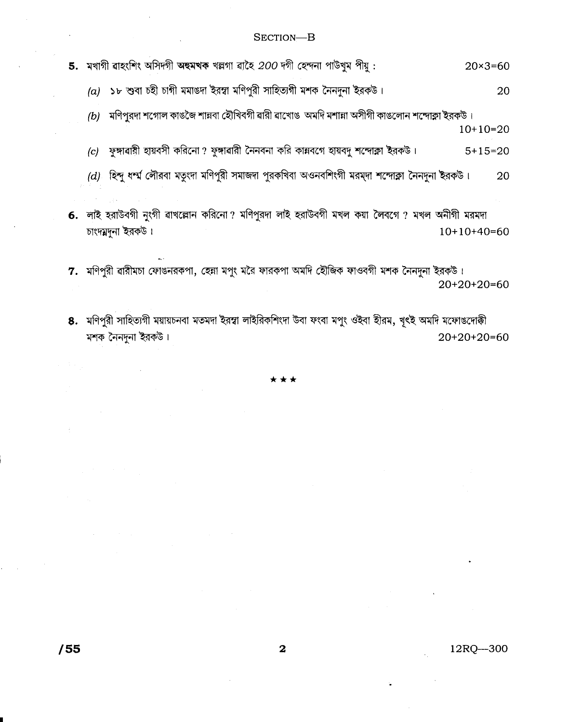## SECTION-B

5. মখাগী ৱাহংশিং অসিদগী অহুমখক খল্লগা ৱাহৈ 200 দগী হেন্দনা পাউখুম পীয়:  $20 \times 3 = 60$ 

(a) ১৮ শুবা চহী চাগী মমাঙদা ইরম্বা মণিপুরী সাহিত্যগী মশক নৈনদুনা ইরকউ। 20

(b) মণিপুরদা শগোল কাঙজৈ শান্নবা হৌখিবগী ৱারী ৱাখোঙ অমদি মশান্না অসীগী কাঙলোন শন্দোক্লা ইরকউ।  $10+10=20$ 

(c) ফঙ্গাৱায়ী হায়বসী করিনো? ফুঙ্গাৱারী নৈনবনা করি কায়বগে হায়বদু শন্দোক্লা ইরকউ।  $5+15=20$ 

 $(d)$  হিন্দু ধর্ম্ম লৌরবা মতৃংদা মণিপুরী সমাজদা পুরকথিবা অওনবশিংগী মরম্দা শন্দোক্লা নৈনদুনা ইরকউ। 20

6. লাই হরাউবগী নুংগী ৱাখল্লোন করিনো? মণিপুরদা লাই হরাউবগী মখল কয়া লৈবগে ? মখল অনীগী মরমদা চাংদমদুনা ইরকউ।  $10+10+40=60$ 

7. মণিপুরী ৱারীমচা ফোঙনরকপা, হেন্না মপুং মরৈ ফারকপা অমদি হৌজিক ফাওবগী মশক নৈনদুনা ইরকউ।  $20+20+20=60$ 

8. মণিপুরী সাহিত্যগী ময়ায়চনবা মতমদা ইরম্বা লাইরিকশিংদা উবা ফংবা মপুং ওইবা হীরম, খৃৎই অমদি মফোঙদোক্কী মশক নৈনদুনা ইরকউ।  $20+20+20=60$ 

12RQ-300

 $/55$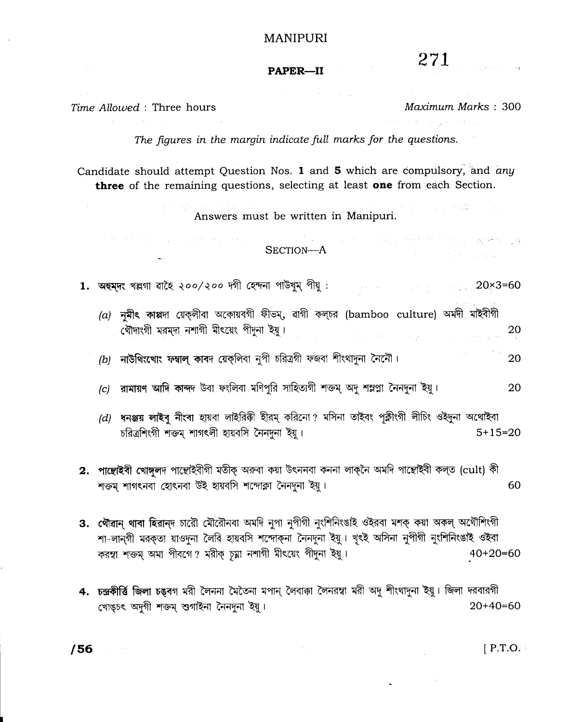#### **MANIPURI**

# 271

#### PAPER-II

**Contract Contract Contract** 

#### Time Allowed : Three hours

the street of the first street and street and

Maximum Marks: 300

计图 计子说数

The figures in the margin indicate full marks for the questions.

Candidate should attempt Question Nos. 1 and 5 which are compulsory, and any three of the remaining questions, selecting at least one from each Section.

Answers must be written in Manipuri.

# $\begin{minipage}[c]{0.9\textwidth} \centering \begin{minipage}[c]{0.9\textwidth} \centering \begin{tabular}[c]{@{}l@{}} \textbf{SECTION--A} & \textcolor{blue}{\textbf{1}} & \textcolor{blue}{\textbf{1}} & \textcolor{blue}{\textbf{1}} & \textcolor{blue}{\textbf{1}} & \textcolor{blue}{\textbf{1}} & \textcolor{blue}{\textbf{1}} & \textcolor{blue}{\textbf{1}} \\ \textbf{SECTION--A} & \textcolor{blue}{\textbf{1}} & \textcolor{blue}{\textbf{1}} & \textcolor{blue}{\textbf{1}} & \textcolor{blue}{\textbf{1}} & \textcolor{blue}{\$

1. অহমদং খল্লগা ৱাহৈ ২০০/২০০ দগী হেন্দনা পাউখুম্ পীয় : enterprise and the set of 20x3=60

 $(a)$  নমীৎ কাপ্পদা য়েকলীবা অকোয়বগী ফীভম, ৱাগী কল্চর (bamboo culture) অমদী মাইবীগী (থীদাংগী মরম্দা নশাগী মীৎয়েং পীদুনা ইয়ু। 20 ing<br>Salah sahiji désa di kacamatan Salah Salah Salah Salah Salah Salah Salah Salah Salah Salah Salah Salah Salah S

 $(b)$  নাউথিংখোং ফম্বাল কাবদ য়েকলিবা নুপী চরিত্রগী ফজবা শীংথাদুনা নৈনৌ। 20

- (c) রামায়ণ আদি কান্দদ উবা ফংলিবা মণিপুরি সাহিত্যগী শক্তম অদু শম্লপ্লা নৈনদুনা ইয়। 20
- (d) ধনঞ্জয় লাইবু নীংবা হায়বা লাইরিকী হীরম্ করিনো? মসিনা তাইবং পুক্লীংগী লীচিং ওইদুনা অথোইবা চরিত্রশিংগী শক্তম শাগৎলী হায়বসি নৈনদনা ইয়।  $5 + 15 = 20$
- 2. পাল্লেইবী খোঙ্গলদ পাছোইবীগী মতীক অৰুবা কয়া উৎননবা কননা লাক্নৈ অমদি পাছোইবী কলত (cult) কী শক্তম শাগৎনবা হোৎনবা উই হায়বসি শন্দোক্লা নৈনদুনা ইয়ু। 60
- 3. থৌৱান থাবা হিরান্দ চারৌ মৌরৌনবা অমদি নুপা নুপীগী নুংশিনিংঙাই ওইরবা মশক্ কয়া অকল্ অথৌশিংগী শা-লান্গী মরক্তা য়াওদুনা লৈরি হায়বসি শন্দোক্না নৈনদুনা ইয়ু। খৃৎই অসিনা নুপীগী নুংশিনিংঙাই ওইবা করম্বা শক্তম অমা পীবগে? মরীক্ চূম্না নশাগী মীৎয়েং পীদুনা ইয়ু।  $40+20=60$
- 4. চন্দ্ৰকীৰ্ত্তি জিলা চঙৰগ মরী লৈননা মৈতৈনা মপান লৈবাকা লৈনরস্বা মরী অদু শীংথাদুনা ইয়ু। জিলা দরবারগী  $20+40=60$ খোঙচৎ অদগী শক্তম শুগাইনা নৈনদনা ইয়ু।

 $\ddot{\phantom{a}}$ 

 $[$  P.T.O.

/56